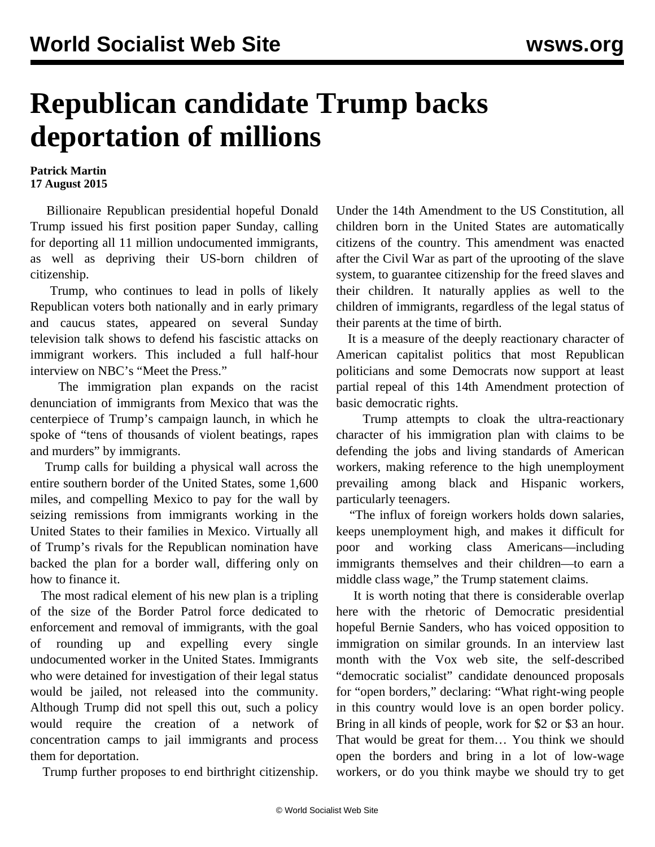## **Republican candidate Trump backs deportation of millions**

## **Patrick Martin 17 August 2015**

 Billionaire Republican presidential hopeful Donald Trump issued his first position paper Sunday, calling for deporting all 11 million undocumented immigrants, as well as depriving their US-born children of citizenship.

 Trump, who continues to lead in polls of likely Republican voters both nationally and in early primary and caucus states, appeared on several Sunday television talk shows to defend his fascistic attacks on immigrant workers. This included a full half-hour interview on NBC's "Meet the Press."

 The immigration plan expands on the racist denunciation of immigrants from Mexico that was the centerpiece of Trump's campaign launch, in which he spoke of "tens of thousands of violent beatings, rapes and murders" by immigrants.

 Trump calls for building a physical wall across the entire southern border of the United States, some 1,600 miles, and compelling Mexico to pay for the wall by seizing remissions from immigrants working in the United States to their families in Mexico. Virtually all of Trump's rivals for the Republican nomination have backed the plan for a border wall, differing only on how to finance it.

 The most radical element of his new plan is a tripling of the size of the Border Patrol force dedicated to enforcement and removal of immigrants, with the goal of rounding up and expelling every single undocumented worker in the United States. Immigrants who were detained for investigation of their legal status would be jailed, not released into the community. Although Trump did not spell this out, such a policy would require the creation of a network of concentration camps to jail immigrants and process them for deportation.

Trump further proposes to end birthright citizenship.

Under the 14th Amendment to the US Constitution, all children born in the United States are automatically citizens of the country. This amendment was enacted after the Civil War as part of the uprooting of the slave system, to guarantee citizenship for the freed slaves and their children. It naturally applies as well to the children of immigrants, regardless of the legal status of their parents at the time of birth.

 It is a measure of the deeply reactionary character of American capitalist politics that most Republican politicians and some Democrats now support at least partial repeal of this 14th Amendment protection of basic democratic rights.

 Trump attempts to cloak the ultra-reactionary character of his immigration plan with claims to be defending the jobs and living standards of American workers, making reference to the high unemployment prevailing among black and Hispanic workers, particularly teenagers.

 "The influx of foreign workers holds down salaries, keeps unemployment high, and makes it difficult for poor and working class Americans—including immigrants themselves and their children—to earn a middle class wage," the Trump statement claims.

 It is worth noting that there is considerable overlap here with the rhetoric of Democratic presidential hopeful Bernie Sanders, who has voiced opposition to immigration on similar grounds. In an interview last month with the [Vox web site](/en/articles/2015/07/30/sand-j30.html), the self-described "democratic socialist" candidate denounced proposals for "open borders," declaring: "What right-wing people in this country would love is an open border policy. Bring in all kinds of people, work for \$2 or \$3 an hour. That would be great for them… You think we should open the borders and bring in a lot of low-wage workers, or do you think maybe we should try to get